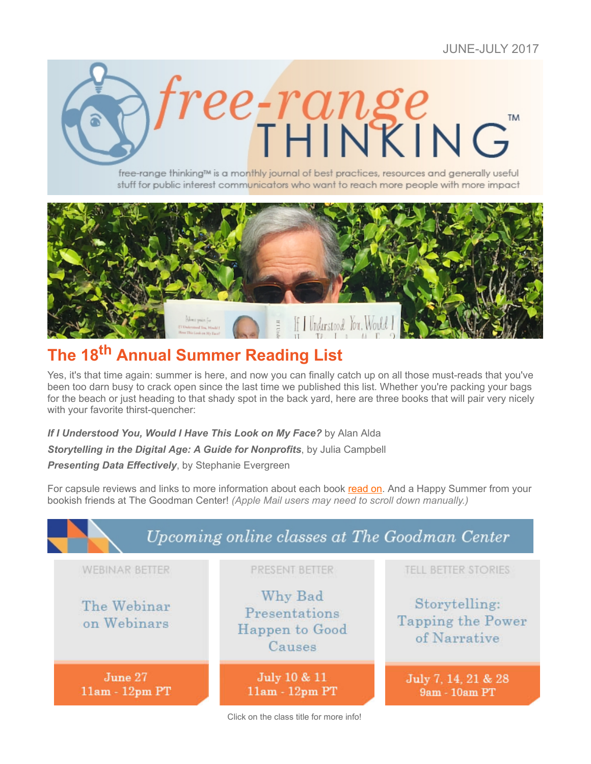

free-range thinking<sup>™</sup> is a monthly journal of best practices, resources and generally useful stuff for public interest communicators who want to reach more people with more impact



# **The 18th Annual Summer Reading List**

Yes, it's that time again: summer is here, and now you can finally catch up on all those must-reads that you've been too darn busy to crack open since the last time we published this list. Whether you're packing your bags for the beach or just heading to that shady spot in the back yard, here are three books that will pair very nicely with your favorite thirst-quencher:

*If I Understood You, Would I Have This Look on My Face?* by Alan Alda

*Storytelling in the Digital Age: A Guide for Nonprofits*, by Julia Campbell

*Presenting Data Effectively*, by Stephanie Evergreen

For capsule reviews and links to more information about each book [read on](https://ui.constantcontact.com/visualeditor/visual_editor_preview.jsp?agent.uid=1128236283695&format=html&printFrame=true#Main1). And a Happy Summer from your bookish friends at The Goodman Center! *(Apple Mail users may need to scroll down manually.)*

| PRESENT BETTER                                       | <b>TELL BETTER STORIES</b>                         |
|------------------------------------------------------|----------------------------------------------------|
| Why Bad<br>Presentations<br>Happen to Good<br>Causes | Storytelling:<br>Tapping the Power<br>of Narrative |
| July 10 & 11<br>$11am - 12pm$ PT                     | July 7, 14, 21 & 28<br>9am - 10am PT               |
|                                                      |                                                    |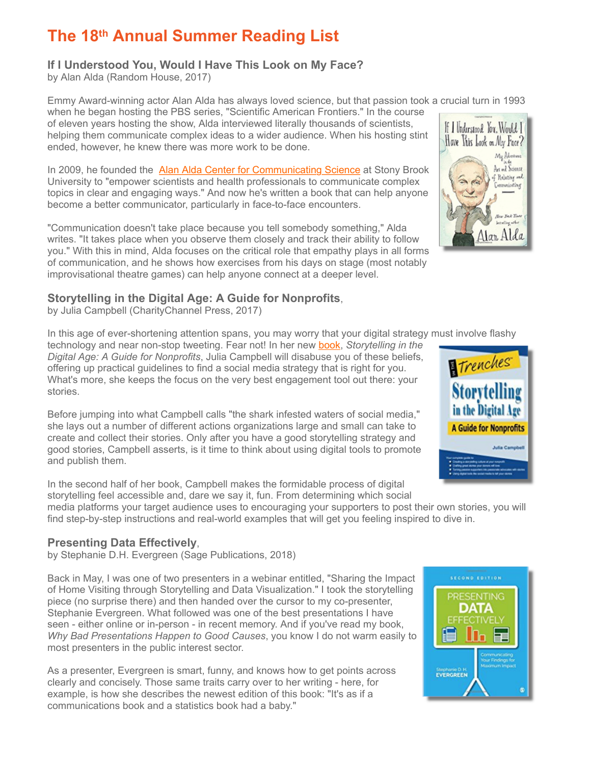## **The 18th Annual Summer Reading List**

#### **If I Understood You, Would I Have This Look on My Face?**

by Alan Alda (Random House, 2017)

Emmy Award-winning actor Alan Alda has always loved science, but that passion took a crucial turn in 1993

when he began hosting the PBS series, "Scientific American Frontiers." In the course of eleven years hosting the show, Alda interviewed literally thousands of scientists, helping them communicate complex ideas to a wider audience. When his hosting stint ended, however, he knew there was more work to be done.

In 2009, he founded the [Alan Alda Center for Communicating Science](http://www.aldakavlilearningcenter.org/) at Stony Brook University to "empower scientists and health professionals to communicate complex topics in clear and engaging ways." And now he's written a book that can help anyone become a better communicator, particularly in face-to-face encounters.

"Communication doesn't take place because you tell somebody something," Alda writes. "It takes place when you observe them closely and track their ability to follow you." With this in mind, Alda focuses on the critical role that empathy plays in all forms of communication, and he shows how exercises from his days on stage (most notably improvisational theatre games) can help anyone connect at a deeper level.

### **Storytelling in the Digital Age: A Guide for Nonprofits**,

by Julia Campbell (CharityChannel Press, 2017)

In this age of ever-shortening attention spans, you may worry that your digital strategy must involve flashy

technology and near non-stop tweeting. Fear not! In her new [book,](https://www.amazon.com/dp/1938077792/) *Storytelling in the Digital Age: A Guide for Nonprofits*, Julia Campbell will disabuse you of these beliefs, offering up practical guidelines to find a social media strategy that is right for you. What's more, she keeps the focus on the very best engagement tool out there: your stories.

Before jumping into what Campbell calls "the shark infested waters of social media," she lays out a number of different actions organizations large and small can take to create and collect their stories. Only after you have a good storytelling strategy and good stories, Campbell asserts, is it time to think about using digital tools to promote and publish them.

In the second half of her book, Campbell makes the formidable process of digital storytelling feel accessible and, dare we say it, fun. From determining which social media platforms your target audience uses to encouraging your supporters to post their own stories, you will find step-by-step instructions and real-world examples that will get you feeling inspired to dive in.

#### **Presenting Data Effectively**,

by Stephanie D.H. Evergreen (Sage Publications, 2018)

Back in May, I was one of two presenters in a webinar entitled, "Sharing the Impact of Home Visiting through Storytelling and Data Visualization." I took the storytelling piece (no surprise there) and then handed over the cursor to my co-presenter, Stephanie Evergreen. What followed was one of the best presentations I have seen - either online or in-person - in recent memory. And if you've read my book, *Why Bad Presentations Happen to Good Causes*, you know I do not warm easily to most presenters in the public interest sector.

As a presenter, Evergreen is smart, funny, and knows how to get points across clearly and concisely. Those same traits carry over to her writing - here, for example, is how she describes the newest edition of this book: "It's as if a communications book and a statistics book had a baby."